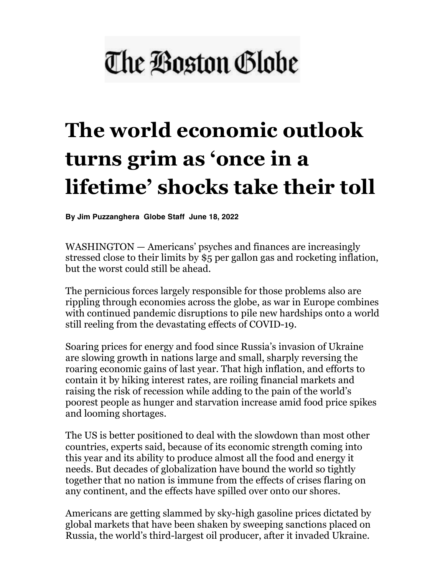## The Boston Globe

## **The world economic outlook turns grim as 'once in a lifetime' shocks take their toll**

**By Jim Puzzanghera Globe Staff June 18, 2022**

WASHINGTON — Americans' psyches and finances are increasingly stressed close to their limits by \$5 per gallon gas and rocketing inflation, but the worst could still be ahead.

The pernicious forces largely responsible for those problems also are rippling through economies across the globe, as war in Europe combines with continued pandemic disruptions to pile new hardships onto a world still reeling from the devastating effects of COVID-19.

Soaring prices for energy and food since Russia's invasion of Ukraine are slowing growth in nations large and small, sharply reversing the roaring economic gains of last year. That high inflation, and efforts to contain it by hiking interest rates, are roiling financial markets and raising the risk of recession while adding to the pain of the world's poorest people as hunger and starvation increase amid food price spikes and looming shortages.

The US is better positioned to deal with the slowdown than most other countries, experts said, because of its economic strength coming into this year and its ability to produce almost all the food and energy it needs. But decades of globalization have bound the world so tightly together that no nation is immune from the effects of crises flaring on any continent, and the effects have spilled over onto our shores.

Americans are getting slammed by sky-high gasoline prices dictated by global markets that have been shaken by sweeping sanctions placed on Russia, the world's third-largest oil producer, after it invaded Ukraine.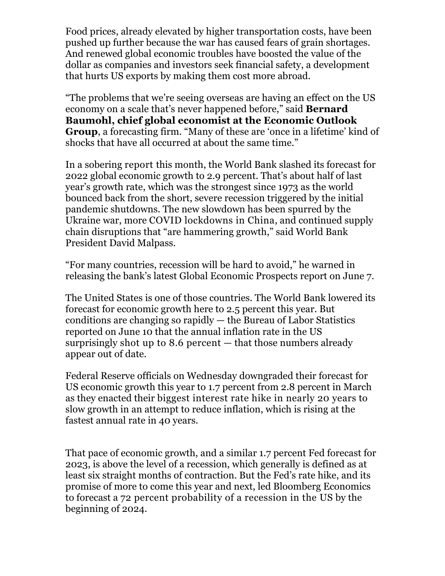Food prices, already elevated by higher transportation costs, have been pushed up further because the war has caused fears of grain shortages. And renewed global economic troubles have boosted the value of the dollar as companies and investors seek financial safety, a development that hurts US exports by making them cost more abroad.

"The problems that we're seeing overseas are having an effect on the US economy on a scale that's never happened before," said **Bernard Baumohl, chief global economist at the Economic Outlook Group**, a forecasting firm. "Many of these are 'once in a lifetime' kind of shocks that have all occurred at about the same time."

In a sobering report this month, the World Bank slashed its forecast for 2022 global economic growth to 2.9 percent. That's about half of last year's growth rate, which was the strongest since 1973 as the world bounced back from the short, severe recession triggered by the initial pandemic shutdowns. The new slowdown has been spurred by the Ukraine war, more COVID lockdowns in China, and continued supply chain disruptions that "are hammering growth," said World Bank President David Malpass.

"For many countries, recession will be hard to avoid," he warned in releasing the bank's latest Global Economic Prospects report on June 7.

The United States is one of those countries. The World Bank lowered its forecast for economic growth here to 2.5 percent this year. But conditions are changing so rapidly — the Bureau of Labor Statistics reported on June 10 that the annual inflation rate in the US surprisingly shot up to 8.6 percent  $-$  that those numbers already appear out of date.

Federal Reserve officials on Wednesday downgraded their forecast for US economic growth this year to 1.7 percent from 2.8 percent in March as they enacted their biggest interest rate hike in nearly 20 years to slow growth in an attempt to reduce inflation, which is rising at the fastest annual rate in 40 years.

That pace of economic growth, and a similar 1.7 percent Fed forecast for 2023, is above the level of a recession, which generally is defined as at least six straight months of contraction. But the Fed's rate hike, and its promise of more to come this year and next, led Bloomberg Economics to forecast a 72 percent probability of a recession in the US by the beginning of 2024.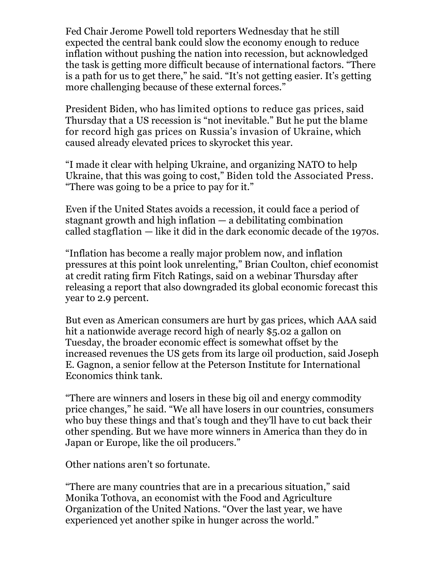Fed Chair Jerome Powell told reporters Wednesday that he still expected the central bank could slow the economy enough to reduce inflation without pushing the nation into recession, but acknowledged the task is getting more difficult because of international factors. "There is a path for us to get there," he said. "It's not getting easier. It's getting more challenging because of these external forces."

President Biden, who has limited options to reduce gas prices, said Thursday that a US recession is "not inevitable." But he put the blame for record high gas prices on Russia's invasion of Ukraine, which caused already elevated prices to skyrocket this year.

"I made it clear with helping Ukraine, and organizing NATO to help Ukraine, that this was going to cost," Biden told the Associated Press. "There was going to be a price to pay for it."

Even if the United States avoids a recession, it could face a period of stagnant growth and high inflation — a debilitating combination called stagflation — like it did in the dark economic decade of the 1970s.

"Inflation has become a really major problem now, and inflation pressures at this point look unrelenting," Brian Coulton, chief economist at credit rating firm Fitch Ratings, said on a webinar Thursday after releasing a report that also downgraded its global economic forecast this year to 2.9 percent.

But even as American consumers are hurt by gas prices, which AAA said hit a nationwide average record high of nearly \$5.02 a gallon on Tuesday, the broader economic effect is somewhat offset by the increased revenues the US gets from its large oil production, said Joseph E. Gagnon, a senior fellow at the Peterson Institute for International Economics think tank.

"There are winners and losers in these big oil and energy commodity price changes," he said. "We all have losers in our countries, consumers who buy these things and that's tough and they'll have to cut back their other spending. But we have more winners in America than they do in Japan or Europe, like the oil producers."

Other nations aren't so fortunate.

"There are many countries that are in a precarious situation," said Monika Tothova, an economist with the Food and Agriculture Organization of the United Nations. "Over the last year, we have experienced yet another spike in hunger across the world."